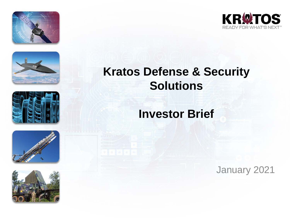











## **Kratos Defense & Security Solutions**

### **Investor Brief**

January 2021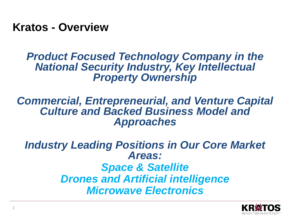**Kratos - Overview**

#### *Product Focused Technology Company in the National Security Industry, Key Intellectual Property Ownership*

#### *Commercial, Entrepreneurial, and Venture Capital Culture and Backed Business Model and Approaches*

*Industry Leading Positions in Our Core Market Areas: Space & Satellite Drones and Artificial intelligence Microwave Electronics*

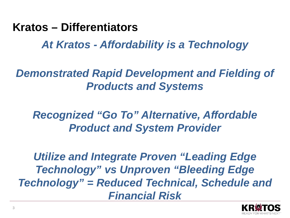#### **Kratos – Differentiators**

*At Kratos - Affordability is a Technology*

*Demonstrated Rapid Development and Fielding of Products and Systems*

*Recognized "Go To" Alternative, Affordable Product and System Provider*

*Utilize and Integrate Proven "Leading Edge Technology" vs Unproven "Bleeding Edge Technology" = Reduced Technical, Schedule and Financial Risk*

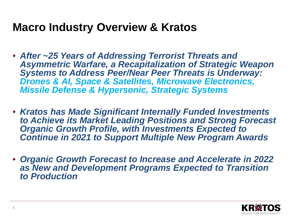#### **Macro Industry Overview & Kratos**

- *After ~25 Years of Addressing Terrorist Threats and Asymmetric Warfare, a Recapitalization of Strategic Weapon Systems to Address Peer/Near Peer Threats is Underway: Drones & AI, Space & Satellites, Microwave Electronics, Missile Defense & Hypersonic, Strategic Systems*
- *Kratos has Made Significant Internally Funded Investments to Achieve its Market Leading Positions and Strong Forecast Organic Growth Profile, with Investments Expected to Continue in 2021 to Support Multiple New Program Awards*
- *Organic Growth Forecast to Increase and Accelerate in 2022 as New and Development Programs Expected to Transition to Production*

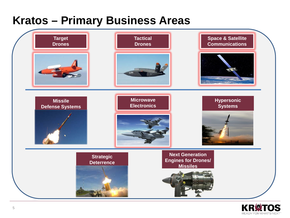## **Kratos – Primary Business Areas**



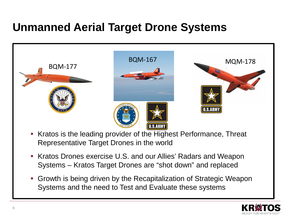## **Unmanned Aerial Target Drone Systems**



- Kratos is the leading provider of the Highest Performance, Threat Representative Target Drones in the world
- Kratos Drones exercise U.S. and our Allies' Radars and Weapon Systems – Kratos Target Drones are "shot down" and replaced
- Growth is being driven by the Recapitalization of Strategic Weapon Systems and the need to Test and Evaluate these systems

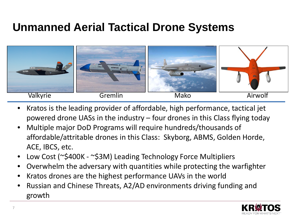## **Unmanned Aerial Tactical Drone Systems**



- Kratos is the leading provider of affordable, high performance, tactical jet powered drone UASs in the industry – four drones in this Class flying today
- Multiple major DoD Programs will require hundreds/thousands of affordable/attritable drones in this Class: Skyborg, ABMS, Golden Horde, ACE, IBCS, etc.
- Low Cost (~\$400K ~\$3M) Leading Technology Force Multipliers
- Overwhelm the adversary with quantities while protecting the warfighter
- Kratos drones are the highest performance UAVs in the world
- Russian and Chinese Threats, A2/AD environments driving funding and growth

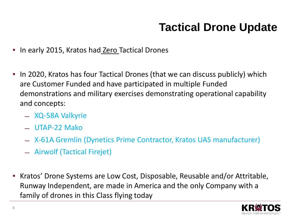# **Tactical Drone Update**

- In early 2015, Kratos had Zero Tactical Drones
- In 2020, Kratos has four Tactical Drones (that we can discuss publicly) which are Customer Funded and have participated in multiple Funded demonstrations and military exercises demonstrating operational capability and concepts:
	- ̶ XQ-58A Valkyrie
	- ̶ UTAP-22 Mako
	- ̶ X-61A Gremlin (Dynetics Prime Contractor, Kratos UAS manufacturer)
	- ̶ Airwolf (Tactical Firejet)
- Kratos' Drone Systems are Low Cost, Disposable, Reusable and/or Attritable, Runway Independent, are made in America and the only Company with a family of drones in this Class flying today

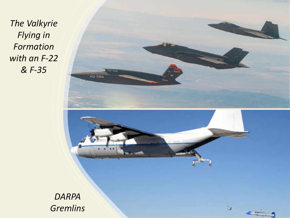*The Valkyrie Flying in Formation with an F-22 & F-35*

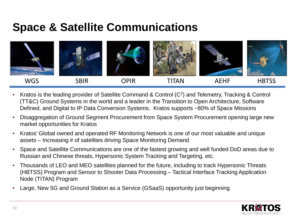### **Space & Satellite Communications**



- Kratos is the leading provider of Satellite Command & Control (C<sup>2</sup>) and Telemetry, Tracking & Control (TT&C) Ground Systems in the world and a leader in the Transition to Open Architecture, Software Defined, and Digital to IP Data Conversion Systems. Kratos supports ~80% of Space Missions
- Disaggregation of Ground Segment Procurement from Space System Procurement opening large new market opportunities for Kratos
- Kratos' Global owned and operated RF Monitoring Network is one of our most valuable and unique assets – Increasing # of satellites driving Space Monitoring Demand
- Space and Satellite Communications are one of the fastest growing and well funded DoD areas due to Russian and Chinese threats, Hypersonic System Tracking and Targeting, etc.
- Thousands of LEO and MEO satellites planned for the future, including to track Hypersonic Threats (HBTSS) Program and Sensor to Shooter Data Processing – Tactical Interface Tracking Application Node (TITAN) Program
- Large, New 5G and Ground Station as a Service (GSaaS) opportunity just beginning

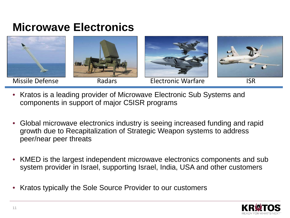#### **Microwave Electronics**



- Kratos is a leading provider of Microwave Electronic Sub Systems and components in support of major C5ISR programs
- Global microwave electronics industry is seeing increased funding and rapid growth due to Recapitalization of Strategic Weapon systems to address peer/near peer threats
- KMED is the largest independent microwave electronics components and sub system provider in Israel, supporting Israel, India, USA and other customers
- Kratos typically the Sole Source Provider to our customers

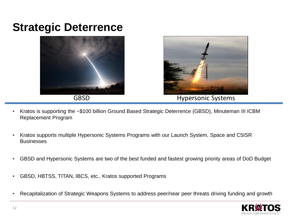### **Strategic Deterrence**





GBSD **Hypersonic Systems** 

- Kratos is supporting the ~\$100 billion Ground Based Strategic Deterrence (GBSD), Minuteman III ICBM Replacement Program
- Kratos supports multiple Hypersonic Systems Programs with our Launch System, Space and C5ISR Businesses
- GBSD and Hypersonic Systems are two of the best funded and fastest growing priority areas of DoD Budget
- GBSD, HBTSS, TITAN, IBCS, etc., Kratos supported Programs
- Recapitalization of Strategic Weapons Systems to address peer/near peer threats driving funding and growth

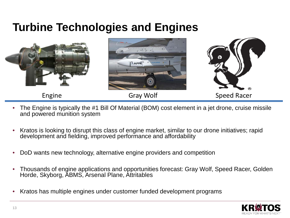### **Turbine Technologies and Engines**



- The Engine is typically the #1 Bill Of Material (BOM) cost element in a jet drone, cruise missile and powered munition system
- Kratos is looking to disrupt this class of engine market, similar to our drone initiatives; rapid development and fielding, improved performance and affordability
- DoD wants new technology, alternative engine providers and competition
- Thousands of engine applications and opportunities forecast: Gray Wolf, Speed Racer, Golden Horde, Skyborg, ABMS, Arsenal Plane, Attritables
- Kratos has multiple engines under customer funded development programs

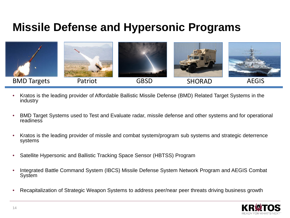### **Missile Defense and Hypersonic Programs**



- Kratos is the leading provider of Affordable Ballistic Missile Defense (BMD) Related Target Systems in the industry
- BMD Target Systems used to Test and Evaluate radar, missile defense and other systems and for operational readiness
- Kratos is the leading provider of missile and combat system/program sub systems and strategic deterrence systems
- Satellite Hypersonic and Ballistic Tracking Space Sensor (HBTSS) Program
- Integrated Battle Command System (IBCS) Missile Defense System Network Program and AEGIS Combat **System**
- Recapitalization of Strategic Weapon Systems to address peer/near peer threats driving business growth

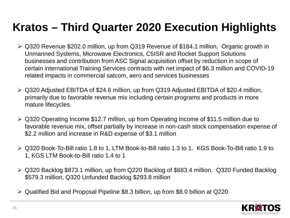## **Kratos – Third Quarter 2020 Execution Highlights**

- Q320 Revenue \$202.0 million, up from Q319 Revenue of \$184.1 million. Organic growth in Unmanned Systems, Microwave Electronics, C5ISR and Rocket Support Solutions businesses and contribution from ASC Signal acquisition offset by reduction in scope of certain international Training Services contracts with net impact of \$6.3 million and COVID-19 related impacts in commercial satcom, aero and services businesses
- Q320 Adjusted EBITDA of \$24.6 million, up from Q319 Adjusted EBITDA of \$20.4 million, primarily due to favorable revenue mix including certain programs and products in more mature lifecycles
- Q320 Operating Income \$12.7 million, up from Operating Income of \$11.5 million due to favorable revenue mix, offset partially by increase in non-cash stock compensation expense of \$2.2 million and increase in R&D expense of \$3.1 million
- Q320 Book-To-Bill ratio 1.8 to 1, LTM Book-to-Bill ratio 1.3 to 1. KGS Book-To-Bill ratio 1.9 to 1, KGS LTM Book-to-Bill ratio 1.4 to 1
- Q320 Backlog \$873.1 million, up from Q220 Backlog of \$683.4 million. Q320 Funded Backlog \$579.3 million, Q320 Unfunded Backlog \$293.8 million
- Qualified Bid and Proposal Pipeline \$8.3 billion, up from \$8.0 billion at Q220

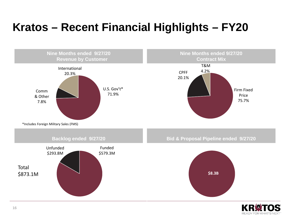# **Kratos – Recent Financial Highlights – FY20**



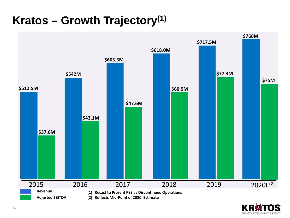## **Kratos – Growth Trajectory(1)**



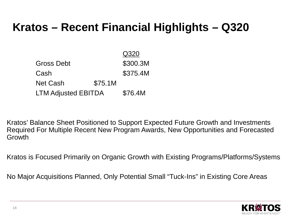## **Kratos – Recent Financial Highlights – Q320**

|                            |         | Q320     |
|----------------------------|---------|----------|
| <b>Gross Debt</b>          |         | \$300.3M |
| Cash                       |         | \$375.4M |
| <b>Net Cash</b>            | \$75.1M |          |
| <b>LTM Adjusted EBITDA</b> |         | \$76.4M  |

Kratos' Balance Sheet Positioned to Support Expected Future Growth and Investments Required For Multiple Recent New Program Awards, New Opportunities and Forecasted **Growth** 

Kratos is Focused Primarily on Organic Growth with Existing Programs/Platforms/Systems

No Major Acquisitions Planned, Only Potential Small "Tuck-Ins" in Existing Core Areas